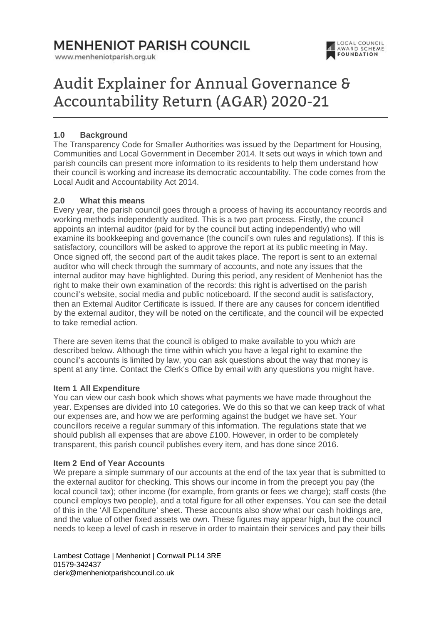www.menheniotparish.org.uk



# Audit Explainer for Annual Governance & Accountability Return (AGAR) 2020-21

# **1.0 Background**

The Transparency Code for Smaller Authorities was issued by the Department for Housing, Communities and Local Government in December 2014. It sets out ways in which town and parish councils can present more information to its residents to help them understand how their council is working and increase its democratic accountability. The code comes from the Local Audit and Accountability Act 2014.

# **2.0 What this means**

Every year, the parish council goes through a process of having its accountancy records and working methods independently audited. This is a two part process. Firstly, the council appoints an internal auditor (paid for by the council but acting independently) who will examine its bookkeeping and governance (the council's own rules and regulations). If this is satisfactory, councillors will be asked to approve the report at its public meeting in May. Once signed off, the second part of the audit takes place. The report is sent to an external auditor who will check through the summary of accounts, and note any issues that the internal auditor may have highlighted. During this period, any resident of Menheniot has the right to make their own examination of the records: this right is advertised on the parish council's website, social media and public noticeboard. If the second audit is satisfactory, then an External Auditor Certificate is issued. If there are any causes for concern identified by the external auditor, they will be noted on the certificate, and the council will be expected to take remedial action.

There are seven items that the council is obliged to make available to you which are described below. Although the time within which you have a legal right to examine the council's accounts is limited by law, you can ask questions about the way that money is spent at any time. Contact the Clerk's Office by email with any questions you might have.

#### **Item 1 All Expenditure**

You can view our cash book which shows what payments we have made throughout the year. Expenses are divided into 10 categories. We do this so that we can keep track of what our expenses are, and how we are performing against the budget we have set. Your councillors receive a regular summary of this information. The regulations state that we should publish all expenses that are above £100. However, in order to be completely transparent, this parish council publishes every item, and has done since 2016.

# **Item 2 End of Year Accounts**

We prepare a simple summary of our accounts at the end of the tax year that is submitted to the external auditor for checking. This shows our income in from the precept you pay (the local council tax); other income (for example, from grants or fees we charge); staff costs (the council employs two people), and a total figure for all other expenses. You can see the detail of this in the 'All Expenditure' sheet. These accounts also show what our cash holdings are, and the value of other fixed assets we own. These figures may appear high, but the council needs to keep a level of cash in reserve in order to maintain their services and pay their bills

Lambest Cottage | Menheniot | Cornwall PL14 3RE 01579-342437 clerk@menheniotparishcouncil.co.uk